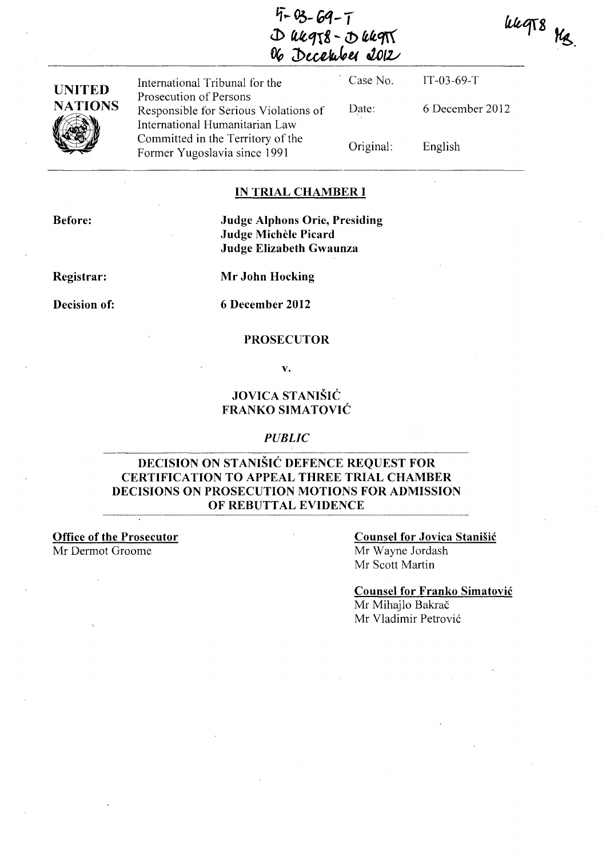~-t- **03- Gq -** *T*  **J> fUtqr8 -..** *i!>* t~qr(  $%$  December 2012

Case No. IT-03-69-T International Tribunal for the **UNITED**  Prosecution of Persons **NATIONS** Date: 6 December 2012 Responsible for Serious Violations of International Humanitarian Law  $~\bullet$ Committed in the Territory of the Original: English Former Yugoslavia since 1991

### **IN TRIAL CHAMBER I**

**Before:** 

### **Judge Alphons Orie, Presiding Judge Michele Picard Judge Elizabeth Gwaunza**

**Registrar:** 

**Mr John Hocking** 

#### **Decision of: 6 December 2012**

#### **PROSECUTOR**

v.

### **JOVICA STANISIC FRANKO SIMA TOVIC**

#### *PUBLIC*

### **DECISION ON STANISIC DEFENCE REQUEST FOR CERTIFICATION TO APPEAL THREE TRIAL CHAMBER DECISIONS ON PROSECUTION MOTIONS FOR ADMISSION OF REBUTTAL EVIDENCE**

**Office of the Prosecutor**  Mr Dermot Groome

**Counsel for Jovica Stanisic**  Mr Wayne lordash Mr Scott Martin

**Counsel for Franko Simatovic**  Mr Mihajlo Bakrač Mr Vladimir Petrović

uugts Me.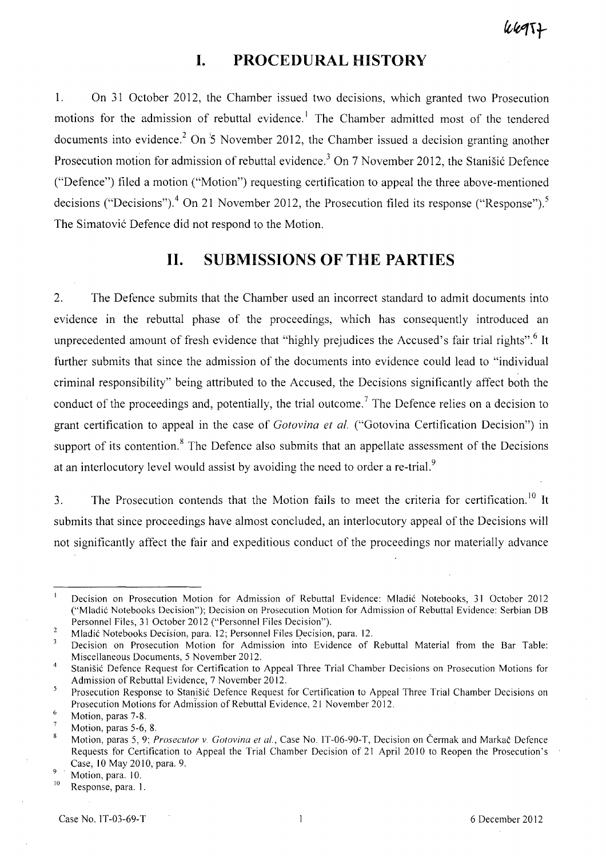# **I. PROCEDURAL HISTORY**

l. On 31 October 2012, the Chamber issued two decisions, which granted two Prosecution motions for the admission of rebuttal evidence.' The Chamber admitted most of the tendered documents into evidence.<sup>2</sup> On  $\frac{1}{2}$  November 2012, the Chamber issued a decision granting another Prosecution motion for admission of rebuttal evidence.<sup>3</sup> On 7 November 2012, the Stanišić Defence ("Defence") filed a motion ("Motion") requesting certification to appeal the three above-mentioned decisions ("Decisions").<sup>4</sup> On 21 November 2012, the Prosecution filed its response ("Response").<sup>5</sup> The Simatovic Defence did not respond to the Motion.

# **11. SUBMISSIONS OF THE PARTIES**

2. The Defence submits that the Chamber used an incorrect standard to admit documents into evidence in the rebuttal phase of the proceedings, which has consequently introduced an unprecedented amount of fresh evidence that "highly prejudices the Accused's fair trial rights".<sup>6</sup> It further submits that since the admission of the documents into evidence could lead to "individual criminal responsibility" being attributed to the Accused, the Decisions significantly affect both the conduct of the proceedings and, potentially, the trial outcome.<sup>7</sup> The Defence relies on a decision to grant certification to appeal in the case of *Gotovina et al.* ("Gotovina Certification Decision") in support of its contention.<sup>8</sup> The Defence also submits that an appellate assessment of the Decisions at an interlocutory level would assist by avoiding the need to order a re-trial.<sup>9</sup>

3. The Prosecution contends that the Motion fails to meet the criteria for certification.<sup>10</sup> It submits that since proceedings have almost concluded, an interlocutory appeal of the Decisions will not significantly affect the fair and expeditious conduct of the proceedings nor materially advance

 $\mathbf{I}$ Decision on Prosecution Motion for Admission of Rebuttal Evidence: Mladic Notebooks, 31 October 2012 ("Mladic Notebooks Decision"); Decision on Prosecution Motion for Admission of Rebuttal Evidence: Serbian DB Personnel Files, 31 October 2012 ("Personnel Files Decision").

 $\overline{2}$ Mladic Notebooks Decision, para. 12; Personnel Files Qecision, para. 12.

 $\mathbf{3}$ Decision on Prosecution Motion for Admission into Evidence of Rebuttal Material from the Bar Table: Miscellaneous Documents, 5 November 2012.

<sup>4</sup>  Stanisic Defence Request for Certification to Appeal Three Trial Chamber Decisions on Prosecution Motions for Admission of Rebuttal Evidence, 7 November 2012.

 $\overline{5}$ Prosecution Response to Stanisic Defence Request for Certification to Appeal Three Trial Chamber Decisions on Prosecution Motions for Admission of Rebuttal Evidence, 21 November 2012. 6

Motion, paras 7-8.

Motion, paras 5-6, 8.

<sup>8</sup> Motion, paras 5, 9; *Prosecutor* v. *Gotovina et aI.,* Case No. JT-06-90-T, Decision on Cermak and Markac Defence Requests for Certification to Appeal the Trial Chamber Decision of 21 April 2010 to Reopen the Prosecution's Case, 10 May 2010, para. 9.

 $\overline{9}$ Motion, para. 10.

<sup>&</sup>lt;sup>10</sup> Response, para. 1.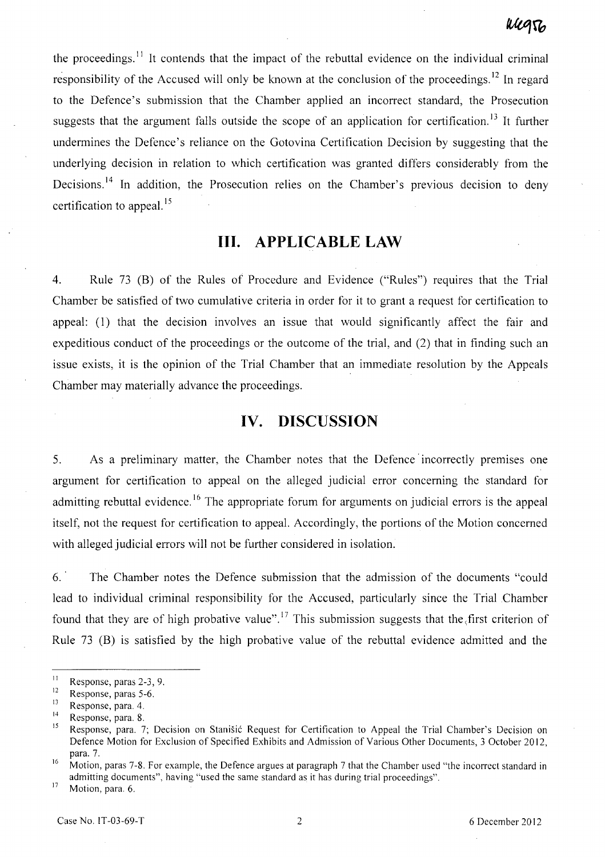the proceedings.<sup>11</sup> It contends that the impact of the rebuttal evidence on the individual criminal responsibility of the Accused will only be known at the conclusion of the proceedings.<sup>12</sup> In regard to the Defence's submission that the Chamber applied an incorrect standard, the Prosecution suggests that the argument falls outside the scope of an application for certification.<sup>13</sup> It further undermines the Defence's reliance on the Gotovina Certification Decision by suggesting that the underlying decision in relation to which certification was granted differs considerably from the Decisions.<sup>14</sup> In addition, the Prosecution relies on the Chamber's previous decision to deny certification to appeal.<sup>15</sup>

## **Ill. APPLICABLE LAW**

4. Rule 73 (B) of the Rules of Procedure and Evidence ("Rules") requires that the Trial Chamber be satisfied of two cumulative criteria in order for it to grant a request for certification to appeal: (l) that the decision involves an issue that would significantly affect the fair and expeditious conduct of the proceedings or the outcome of the trial, and (2) that in finding such an issue exists, it is the opinion of the Trial Chamber that an immediate resolution by the Appeals Chamber may materially advance the proceedings.

### **IV. DISCUSSION**

5. As a preliminary matter, the Chamber notes that the Defence' incorrectly premises one argument for certification to appeal on the alleged judicial error concerning the standard for admitting rebuttal evidence.<sup>16</sup> The appropriate forum for arguments on judicial errors is the appeal itself, not the request for certification to appeal. Accordingly, the portions of the Motion concerned with alleged judicial errors will not be further considered in isolation.

6. The Chamber notes the Defence submission that the admission of the documents "could lead to individual criminal responsibility for the Accused, particularly since the Trial Chamber found that they are of high probative value".<sup>17</sup> This submission suggests that the first criterion of Rule 73 (B) is satisfied by the high probative value of the rebuttal evidence admitted and the

 $17$  Motion, para. 6.

<sup>&</sup>lt;sup>11</sup> Response, paras 2-3, 9.<br>Response paras 5.6.

 $12$  Response, paras 5-6.

 $13$  Response, para. 4.

 $14$  Response, para. 8.

Response, para. 7; Decision on Stanišić Request for Certification to Appeal the Trial Chamber's Decision on Defence Motion for Exclusion of Specified Exhibits and Admission of Various Other Documents, 3 October 2012, para. 7.

<sup>&</sup>lt;sup>16</sup> Motion, paras 7-8. For example, the Defence argues at paragraph 7 that the Chamber used "the incorrect standard in admitting documents", having "used the same standard as it has during trial proceedings".